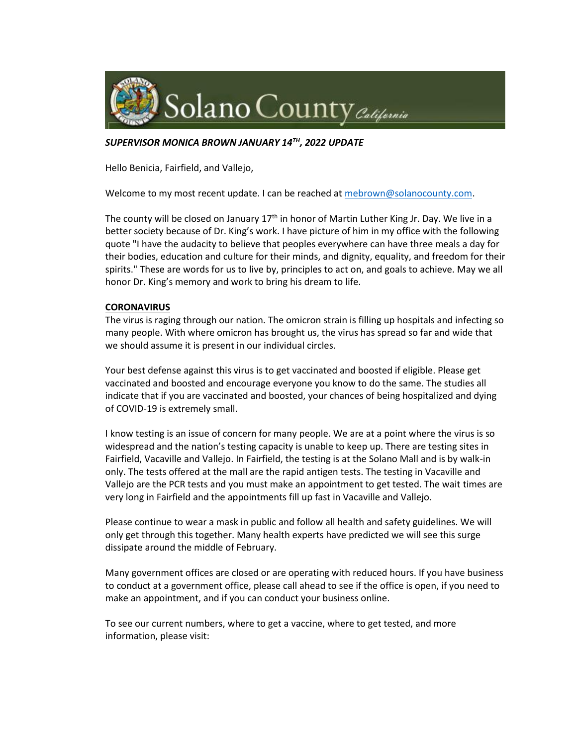

*SUPERVISOR MONICA BROWN JANUARY 14TH, 2022 UPDATE*

Hello Benicia, Fairfield, and Vallejo,

Welcome to my most recent update. I can be reached at [mebrown@solanocounty.com.](mailto:mebrown@solanocounty.com)

The county will be closed on January  $17<sup>th</sup>$  in honor of Martin Luther King Jr. Day. We live in a better society because of Dr. King's work. I have picture of him in my office with the following quote "I have the audacity to believe that peoples everywhere can have three meals a day for their bodies, education and culture for their minds, and dignity, equality, and freedom for their spirits." These are words for us to live by, principles to act on, and goals to achieve. May we all honor Dr. King's memory and work to bring his dream to life.

### **CORONAVIRUS**

The virus is raging through our nation. The omicron strain is filling up hospitals and infecting so many people. With where omicron has brought us, the virus has spread so far and wide that we should assume it is present in our individual circles.

Your best defense against this virus is to get vaccinated and boosted if eligible. Please get vaccinated and boosted and encourage everyone you know to do the same. The studies all indicate that if you are vaccinated and boosted, your chances of being hospitalized and dying of COVID-19 is extremely small.

I know testing is an issue of concern for many people. We are at a point where the virus is so widespread and the nation's testing capacity is unable to keep up. There are testing sites in Fairfield, Vacaville and Vallejo. In Fairfield, the testing is at the Solano Mall and is by walk-in only. The tests offered at the mall are the rapid antigen tests. The testing in Vacaville and Vallejo are the PCR tests and you must make an appointment to get tested. The wait times are very long in Fairfield and the appointments fill up fast in Vacaville and Vallejo.

Please continue to wear a mask in public and follow all health and safety guidelines. We will only get through this together. Many health experts have predicted we will see this surge dissipate around the middle of February.

Many government offices are closed or are operating with reduced hours. If you have business to conduct at a government office, please call ahead to see if the office is open, if you need to make an appointment, and if you can conduct your business online.

To see our current numbers, where to get a vaccine, where to get tested, and more information, please visit: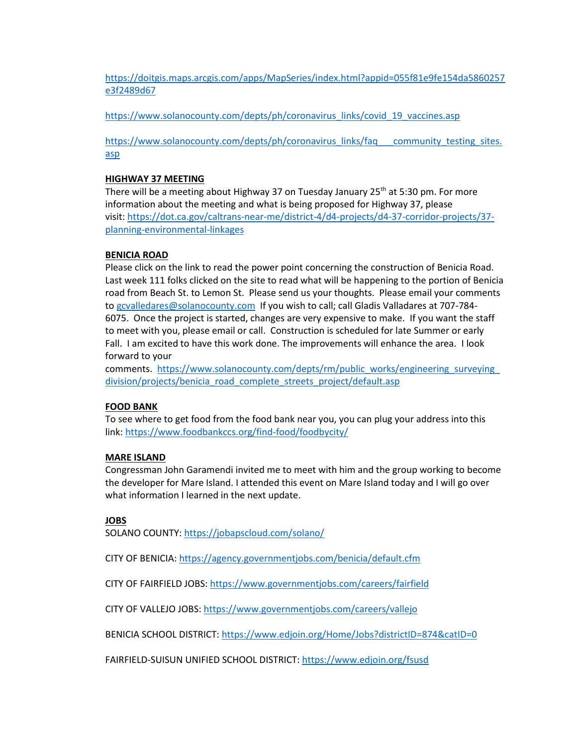[https://doitgis.maps.arcgis.com/apps/MapSeries/index.html?appid=055f81e9fe154da5860257](https://gcc02.safelinks.protection.outlook.com/?url=https%3A%2F%2Fdoitgis.maps.arcgis.com%2Fapps%2FMapSeries%2Findex.html%3Fappid%3D055f81e9fe154da5860257e3f2489d67&data=04%7C01%7C%7C5d21a654af354ea44f7e08d9d796ac18%7C5e7f20ace5f14f838c3bce44b8486421%7C0%7C0%7C637777864403535235%7CUnknown%7CTWFpbGZsb3d8eyJWIjoiMC4wLjAwMDAiLCJQIjoiV2luMzIiLCJBTiI6Ik1haWwiLCJXVCI6Mn0%3D%7C3000&sdata=0F080ZrpkkJoAhvoB10gsoPH2Dp34HjstypsYye576U%3D&reserved=0) [e3f2489d67](https://gcc02.safelinks.protection.outlook.com/?url=https%3A%2F%2Fdoitgis.maps.arcgis.com%2Fapps%2FMapSeries%2Findex.html%3Fappid%3D055f81e9fe154da5860257e3f2489d67&data=04%7C01%7C%7C5d21a654af354ea44f7e08d9d796ac18%7C5e7f20ace5f14f838c3bce44b8486421%7C0%7C0%7C637777864403535235%7CUnknown%7CTWFpbGZsb3d8eyJWIjoiMC4wLjAwMDAiLCJQIjoiV2luMzIiLCJBTiI6Ik1haWwiLCJXVCI6Mn0%3D%7C3000&sdata=0F080ZrpkkJoAhvoB10gsoPH2Dp34HjstypsYye576U%3D&reserved=0)

[https://www.solanocounty.com/depts/ph/coronavirus\\_links/covid\\_19\\_vaccines.asp](https://gcc02.safelinks.protection.outlook.com/?url=https%3A%2F%2Fwww.solanocounty.com%2Fdepts%2Fph%2Fcoronavirus_links%2Fcovid_19_vaccines.asp&data=04%7C01%7C%7C5d21a654af354ea44f7e08d9d796ac18%7C5e7f20ace5f14f838c3bce44b8486421%7C0%7C0%7C637777864403535235%7CUnknown%7CTWFpbGZsb3d8eyJWIjoiMC4wLjAwMDAiLCJQIjoiV2luMzIiLCJBTiI6Ik1haWwiLCJXVCI6Mn0%3D%7C3000&sdata=%2Bk4KClWPvsX%2F4zafx6lxSTxOYyKG8zM4BXfYf1n9toE%3D&reserved=0)

[https://www.solanocounty.com/depts/ph/coronavirus\\_links/faq\\_\\_\\_community\\_testing\\_sites.](https://gcc02.safelinks.protection.outlook.com/?url=https%3A%2F%2Fwww.solanocounty.com%2Fdepts%2Fph%2Fcoronavirus_links%2Ffaq___community_testing_sites.asp&data=04%7C01%7C%7C5d21a654af354ea44f7e08d9d796ac18%7C5e7f20ace5f14f838c3bce44b8486421%7C0%7C0%7C637777864403535235%7CUnknown%7CTWFpbGZsb3d8eyJWIjoiMC4wLjAwMDAiLCJQIjoiV2luMzIiLCJBTiI6Ik1haWwiLCJXVCI6Mn0%3D%7C3000&sdata=PTSr51AIbx6l7K5QZgnNMzu5lwF313XhN0pidb86NX4%3D&reserved=0) [asp](https://gcc02.safelinks.protection.outlook.com/?url=https%3A%2F%2Fwww.solanocounty.com%2Fdepts%2Fph%2Fcoronavirus_links%2Ffaq___community_testing_sites.asp&data=04%7C01%7C%7C5d21a654af354ea44f7e08d9d796ac18%7C5e7f20ace5f14f838c3bce44b8486421%7C0%7C0%7C637777864403535235%7CUnknown%7CTWFpbGZsb3d8eyJWIjoiMC4wLjAwMDAiLCJQIjoiV2luMzIiLCJBTiI6Ik1haWwiLCJXVCI6Mn0%3D%7C3000&sdata=PTSr51AIbx6l7K5QZgnNMzu5lwF313XhN0pidb86NX4%3D&reserved=0)

## **HIGHWAY 37 MEETING**

There will be a meeting about Highway 37 on Tuesday January 25<sup>th</sup> at 5:30 pm. For more information about the meeting and what is being proposed for Highway 37, please visit: [https://dot.ca.gov/caltrans-near-me/district-4/d4-projects/d4-37-corridor-projects/37](https://gcc02.safelinks.protection.outlook.com/?url=https%3A%2F%2Fdot.ca.gov%2Fcaltrans-near-me%2Fdistrict-4%2Fd4-projects%2Fd4-37-corridor-projects%2F37-planning-environmental-linkages&data=04%7C01%7C%7C5d21a654af354ea44f7e08d9d796ac18%7C5e7f20ace5f14f838c3bce44b8486421%7C0%7C0%7C637777864403535235%7CUnknown%7CTWFpbGZsb3d8eyJWIjoiMC4wLjAwMDAiLCJQIjoiV2luMzIiLCJBTiI6Ik1haWwiLCJXVCI6Mn0%3D%7C3000&sdata=MkRSpaURbVGWd6l4xBxwMcoV9Wi%2FznuZp%2FZzLdseWsA%3D&reserved=0) [planning-environmental-linkages](https://gcc02.safelinks.protection.outlook.com/?url=https%3A%2F%2Fdot.ca.gov%2Fcaltrans-near-me%2Fdistrict-4%2Fd4-projects%2Fd4-37-corridor-projects%2F37-planning-environmental-linkages&data=04%7C01%7C%7C5d21a654af354ea44f7e08d9d796ac18%7C5e7f20ace5f14f838c3bce44b8486421%7C0%7C0%7C637777864403535235%7CUnknown%7CTWFpbGZsb3d8eyJWIjoiMC4wLjAwMDAiLCJQIjoiV2luMzIiLCJBTiI6Ik1haWwiLCJXVCI6Mn0%3D%7C3000&sdata=MkRSpaURbVGWd6l4xBxwMcoV9Wi%2FznuZp%2FZzLdseWsA%3D&reserved=0)

### **BENICIA ROAD**

Please click on the link to read the power point concerning the construction of Benicia Road. Last week 111 folks clicked on the site to read what will be happening to the portion of Benicia road from Beach St. to Lemon St. Please send us your thoughts. Please email your comments to [gcvalledares@solanocounty.com](mailto:gcvalledares@solanocounty.com) If you wish to call; call Gladis Valladares at 707-784- 6075. Once the project is started, changes are very expensive to make. If you want the staff to meet with you, please email or call. Construction is scheduled for late Summer or early Fall. I am excited to have this work done. The improvements will enhance the area. I look forward to your

comments. https://www.solanocounty.com/depts/rm/public\_works/engineering\_surveying [division/projects/benicia\\_road\\_complete\\_streets\\_project/default.asp](https://gcc02.safelinks.protection.outlook.com/?url=https%3A%2F%2Fwww.solanocounty.com%2Fdepts%2Frm%2Fpublic_works%2Fengineering_surveying_division%2Fprojects%2Fbenicia_road_complete_streets_project%2Fdefault.asp&data=04%7C01%7C%7C5d21a654af354ea44f7e08d9d796ac18%7C5e7f20ace5f14f838c3bce44b8486421%7C0%7C0%7C637777864403535235%7CUnknown%7CTWFpbGZsb3d8eyJWIjoiMC4wLjAwMDAiLCJQIjoiV2luMzIiLCJBTiI6Ik1haWwiLCJXVCI6Mn0%3D%7C3000&sdata=psqiCKQdSWJq8PcFMMmLD2V%2BVpZ%2FClXKQst%2Bwgh1Cz8%3D&reserved=0)

# **FOOD BANK**

To see where to get food from the food bank near you, you can plug your address into this link: [https://www.foodbankccs.org/find-food/foodbycity/](https://gcc02.safelinks.protection.outlook.com/?url=https%3A%2F%2Fwww.foodbankccs.org%2Ffind-food%2Ffoodbycity%2F&data=04%7C01%7C%7C5d21a654af354ea44f7e08d9d796ac18%7C5e7f20ace5f14f838c3bce44b8486421%7C0%7C0%7C637777864403535235%7CUnknown%7CTWFpbGZsb3d8eyJWIjoiMC4wLjAwMDAiLCJQIjoiV2luMzIiLCJBTiI6Ik1haWwiLCJXVCI6Mn0%3D%7C3000&sdata=29%2B9fi9nE%2FVtv6quRLw2ZJiK5RYMxTgXkbA5PqteLzU%3D&reserved=0)

### **MARE ISLAND**

Congressman John Garamendi invited me to meet with him and the group working to become the developer for Mare Island. I attended this event on Mare Island today and I will go over what information I learned in the next update.

### **JOBS**

SOLANO COUNTY: [https://jobapscloud.com/solano/](https://gcc02.safelinks.protection.outlook.com/?url=https%3A%2F%2Fjobapscloud.com%2Fsolano%2F&data=04%7C01%7C%7C5d21a654af354ea44f7e08d9d796ac18%7C5e7f20ace5f14f838c3bce44b8486421%7C0%7C0%7C637777864403535235%7CUnknown%7CTWFpbGZsb3d8eyJWIjoiMC4wLjAwMDAiLCJQIjoiV2luMzIiLCJBTiI6Ik1haWwiLCJXVCI6Mn0%3D%7C3000&sdata=oYatN%2B49tGCwS%2FR6CZ7UlcgtDxUBAF09ybAH5%2FaUc1Q%3D&reserved=0)

CITY OF BENICIA: [https://agency.governmentjobs.com/benicia/default.cfm](https://gcc02.safelinks.protection.outlook.com/?url=https%3A%2F%2Fagency.governmentjobs.com%2Fbenicia%2Fdefault.cfm&data=04%7C01%7C%7C5d21a654af354ea44f7e08d9d796ac18%7C5e7f20ace5f14f838c3bce44b8486421%7C0%7C0%7C637777864403535235%7CUnknown%7CTWFpbGZsb3d8eyJWIjoiMC4wLjAwMDAiLCJQIjoiV2luMzIiLCJBTiI6Ik1haWwiLCJXVCI6Mn0%3D%7C3000&sdata=buXAHMYOVLHw%2B5yhDQ%2BaD%2BLaB%2BrR1GCDNL%2F0NJFvdMQ%3D&reserved=0)

CITY OF FAIRFIELD JOBS: [https://www.governmentjobs.com/careers/fairfield](https://gcc02.safelinks.protection.outlook.com/?url=https%3A%2F%2Fwww.governmentjobs.com%2Fcareers%2Ffairfield&data=04%7C01%7C%7C5d21a654af354ea44f7e08d9d796ac18%7C5e7f20ace5f14f838c3bce44b8486421%7C0%7C0%7C637777864403535235%7CUnknown%7CTWFpbGZsb3d8eyJWIjoiMC4wLjAwMDAiLCJQIjoiV2luMzIiLCJBTiI6Ik1haWwiLCJXVCI6Mn0%3D%7C3000&sdata=gaXbfVNC%2FCeYHb54xsGt8OznAGt7NsyBSkAVbI5lkHI%3D&reserved=0)

CITY OF VALLEJO JOBS: [https://www.governmentjobs.com/careers/vallejo](https://gcc02.safelinks.protection.outlook.com/?url=https%3A%2F%2Fwww.governmentjobs.com%2Fcareers%2Fvallejo&data=04%7C01%7C%7C5d21a654af354ea44f7e08d9d796ac18%7C5e7f20ace5f14f838c3bce44b8486421%7C0%7C0%7C637777864403535235%7CUnknown%7CTWFpbGZsb3d8eyJWIjoiMC4wLjAwMDAiLCJQIjoiV2luMzIiLCJBTiI6Ik1haWwiLCJXVCI6Mn0%3D%7C3000&sdata=yOd7KARIsbjuzrJbYbRt65mARgckXabW13iHKGrK7JM%3D&reserved=0)

BENICIA SCHOOL DISTRICT: [https://www.edjoin.org/Home/Jobs?districtID=874&catID=0](https://gcc02.safelinks.protection.outlook.com/?url=https%3A%2F%2Fwww.edjoin.org%2FHome%2FJobs%3FdistrictID%3D874%26catID%3D0&data=04%7C01%7C%7C5d21a654af354ea44f7e08d9d796ac18%7C5e7f20ace5f14f838c3bce44b8486421%7C0%7C0%7C637777864403535235%7CUnknown%7CTWFpbGZsb3d8eyJWIjoiMC4wLjAwMDAiLCJQIjoiV2luMzIiLCJBTiI6Ik1haWwiLCJXVCI6Mn0%3D%7C3000&sdata=dYcXDCGvBh1OQrIKv3osdTqxb2djL470qjL0nQ7SgVQ%3D&reserved=0)

FAIRFIELD-SUISUN UNIFIED SCHOOL DISTRICT: [https://www.edjoin.org/fsusd](https://gcc02.safelinks.protection.outlook.com/?url=https%3A%2F%2Fwww.edjoin.org%2Ffsusd&data=04%7C01%7C%7C5d21a654af354ea44f7e08d9d796ac18%7C5e7f20ace5f14f838c3bce44b8486421%7C0%7C0%7C637777864403535235%7CUnknown%7CTWFpbGZsb3d8eyJWIjoiMC4wLjAwMDAiLCJQIjoiV2luMzIiLCJBTiI6Ik1haWwiLCJXVCI6Mn0%3D%7C3000&sdata=Z7R4A%2FxWdVBq0%2BBjqyEuAJZjFc5b0rpLf6pi0mYlpTs%3D&reserved=0)